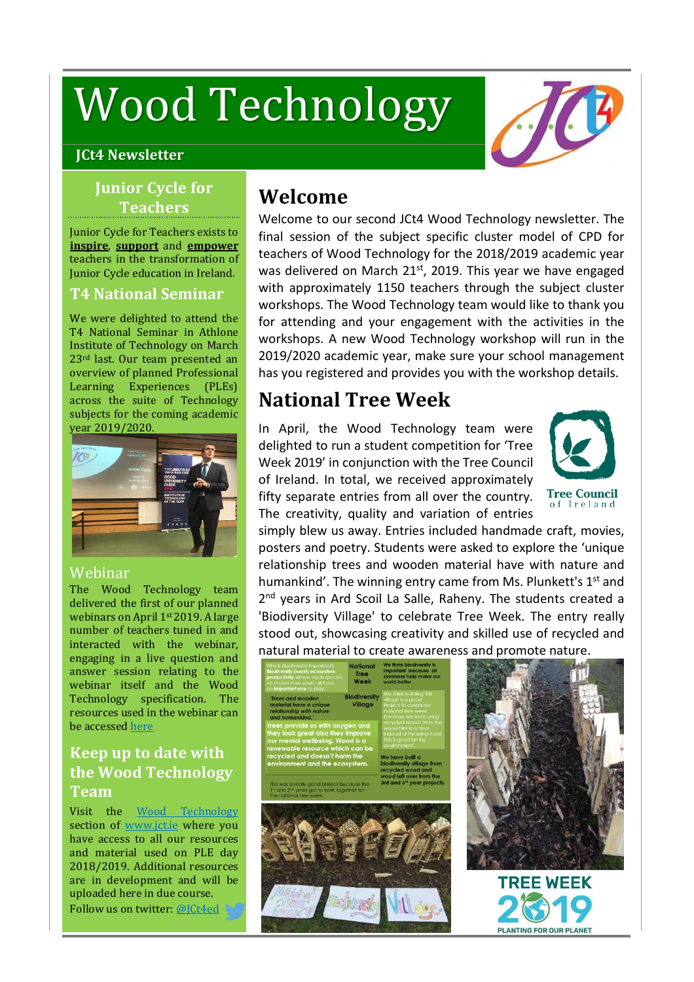# Wood Technology

#### **JCt4 Newsletter**

## **Junior Cycle for Teachers**

Junior Cycle for Teachers exists to **inspire**, **support** and **empower** teachers in the transformation of Junior Cycle education in Ireland.

### **T4 National Seminar**

We were delighted to attend the T4 National Seminar in Athlone Institute of Technology on March 23rd last. Our team presented an overview of planned Professional Learning Experiences (PLEs) across the suite of Technology subjects for the coming academic year 2019/2020.



#### Webinar

The Wood Technology team delivered the first of our planned webinars on April 1<sup>st</sup> 2019. A large number of teachers tuned in and interacted with the webinar, engaging in a live question and answer session relating to the webinar itself and the Wood Technology specification. The resources used in the webinar can be accessed [here](https://www.jct.ie/technologies/cpd_supports_wood_technology_elective_workshops)

## **Keep up to date with the Wood Technology Team**

Visit the Wood [Technology](https://www.jct.ie/technologies/cpd_supports_wood_technology_cpd_workshops_2018_2019) section of [www.jct.ie](http://www.jct.ie/) where you have access to all our resources and material used on PLE day 2018/2019. Additional resources are in development and will be uploaded here in due course. Follow us on twitter: [@JCt4ed](https://twitter.com/JCt4ed)

## **Welcome**

Welcome to our second JCt4 Wood Technology newsletter. The final session of the subject specific cluster model of CPD for teachers of Wood Technology for the 2018/2019 academic year was delivered on March 21<sup>st</sup>, 2019. This year we have engaged with approximately 1150 teachers through the subject cluster workshops. The Wood Technology team would like to thank you for attending and your engagement with the activities in the workshops. A new Wood Technology workshop will run in the 2019/2020 academic year, make sure your school management has you registered and provides you with the workshop details.

## **National Tree Week**

In April, the Wood Technology team were delighted to run a student [competition](https://twitter.com/hashtag/TreeWeek2019?src=hashtag_click) for 'Tree [Week](https://twitter.com/hashtag/TreeWeek2019?src=hashtag_click) 2019' in conjunction with the Tree Council of Ireland. In total, we received approximately fifty separate entries from all over the country. The creativity, quality and variation of entries



simply blew us away. Entries included handmade craft, movies, posters and poetry. Students were asked to explore the 'unique relationship trees and wooden material have with nature and humankind'. The winning entry came from Ms. Plunkett's 1<sup>st</sup> and 2<sup>nd</sup> years in Ard Scoil La Salle, Raheny. The students created a 'Biodiversity Village' to celebrate Tree Week. The entry really stood out, showcasing creativity and skilled use of recycled and natural material to create awareness and promote nature.